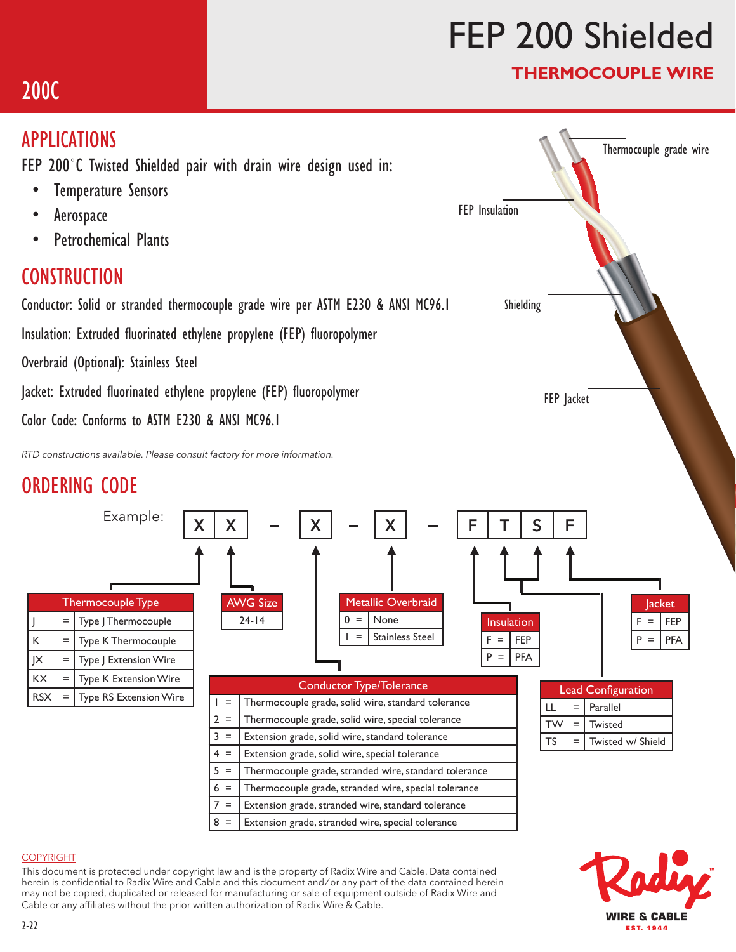# FEP 200 Shielded

FEP Jacket

FEP Insulation

Shielding

### THERMOCOUPLE WIRE

Thermocouple grade wire

## 200C

## APPLICATIONS

FEP 200˚C Twisted Shielded pair with drain wire design used in:

- Temperature Sensors
- Aerospace
- Petrochemical Plants

## **CONSTRUCTION**

Conductor: Solid or stranded thermocouple grade wire per ASTM E230 & ANSI MC96.1

Insulation: Extruded fluorinated ethylene propylene (FEP) fluoropolymer

Overbraid (Optional): Stainless Steel

Jacket: Extruded fluorinated ethylene propylene (FEP) fluoropolymer

Color Code: Conforms to ASTM E230 & ANSI MC96.1

*RTD constructions available. Please consult factory for more information.*

## ORDERING CODE



 $8 =$  Extension grade, stranded wire, special tolerance



### COPYRIGHT

This document is protected under copyright law and is the property of Radix Wire and Cable. Data contained herein is confidential to Radix Wire and Cable and this document and / or any part of the data contained herein may not be copied, duplicated or released for manufacturing or sale of equipment outside of Radix Wire and Cable or any affiliates without the prior written authorization of Radix Wire & Cable.